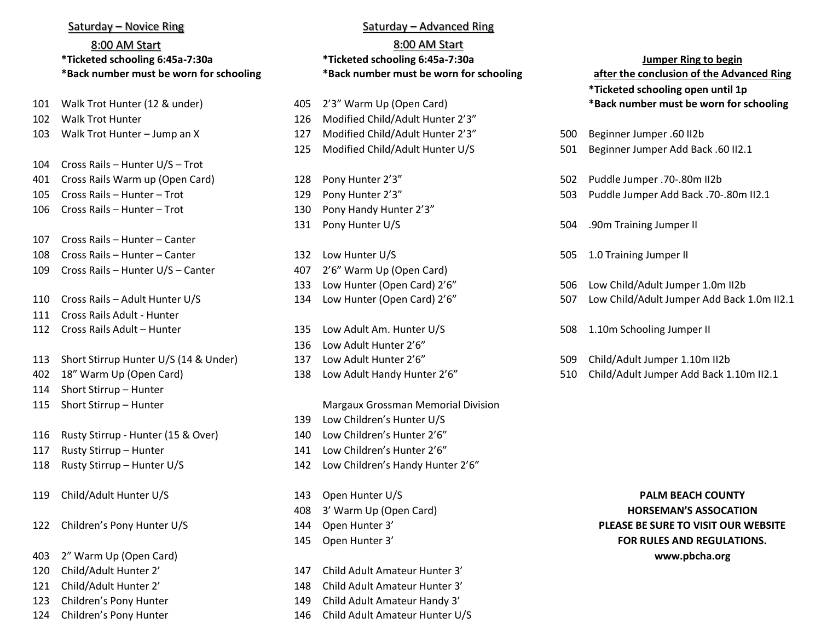#### Saturday – Novice Ring

# 8:00 AM Start

- 
- 
- 
- Cross Rails Hunter U/S Trot Cross Rails Warm up (Open Card) 128 Pony Hunter 2'3" 502 Puddle Jumper .70-.80m II2b Cross Rails – Hunter – Trot 129 Pony Hunter 2'3" 503 Puddle Jumper Add Back .70-.80m II2.1
- Cross Rails Hunter Trot 130 Pony Handy Hunter 2'3"
- Cross Rails Hunter Canter
- 109 Cross Rails Hunter U/S Canter 1988 March 216 Marm Up (Open Card)
- 
- Cross Rails Adult Hunter
- 
- Short Stirrup Hunter U/S (14 & Under) 137 Low Adult Hunter 2'6" 509 Child/Adult Jumper 1.10m II2b
- 
- Short Stirrup Hunter
- 
- Rusty Stirrup Hunter (15 & Over) 140 Low Children's Hunter 2'6"
- 
- 
- 
- 
- 2" Warm Up (Open Card) **www.pbcha.org**
- 
- 
- 
- 

### **\*Ticketed schooling 6:45a-7:30a \*Ticketed schooling 6:45a-7:30a Jumper Ring to begin \*Back number must be worn for schooling \*Back number must be worn for schooling after the conclusion of the Advanced Ring** Saturday – Advanced Ring 8:00 AM Start

- Walk Trot Hunter 126 Modified Child/Adult Hunter 2'3" Walk Trot Hunter – Jump an X 127 Modified Child/Adult Hunter 2'3" 500 Beginner Jumper .60 II2b
	-
	-
	-
	-
- 112 Cross Rails Adult Hunter 135 Low Adult Am. Hunter U/S 508 1.10m Schooling Jumper II
	- Low Adult Hunter 2'6"
	-
	-

115 Short Stirrup – Hunter Margaux Grossman Memorial Division

- Low Children's Hunter U/S
- 
- Rusty Stirrup Hunter 141 Low Children's Hunter 2'6"
- Rusty Stirrup Hunter U/S 142 Low Children's Handy Hunter 2'6"
	-
	-
	-
- Child/Adult Hunter 2' 147 Child Adult Amateur Hunter 3'
- Child/Adult Hunter 2' 148 Child Adult Amateur Hunter 3'
- Children's Pony Hunter 149 Child Adult Amateur Handy 3'
- 124 Children's Pony Hunter 146 Child Adult Amateur Hunter U/S

**\*Ticketed schooling open until 1p** Walk Trot Hunter (12 & under) 405 2'3" Warm Up (Open Card) **\*Back number must be worn for schooling**

- Modified Child/Adult Hunter U/S 501 Beginner Jumper Add Back .60 II2.1
	-
	-
- Pony Hunter U/S 504 .90m Training Jumper II
- 108 Cross Rails Hunter Canter 132 Low Hunter U/S 505 1.0 Training Jumper II
	- Low Hunter (Open Card) 2'6" 506 Low Child/Adult Jumper 1.0m II2b
- Cross Rails Adult Hunter U/S 134 Low Hunter (Open Card) 2'6" 507 Low Child/Adult Jumper Add Back 1.0m II2.1
	-
	-
- 18" Warm Up (Open Card) 138 Low Adult Handy Hunter 2'6" 510 Child/Adult Jumper Add Back 1.10m II2.1

## Child/Adult Hunter U/S 143 Open Hunter U/S **PALM BEACH COUNTY** 3' Warm Up (Open Card) **HORSEMAN'S ASSOCATION** Children's Pony Hunter U/S 144 Open Hunter 3' **PLEASE BE SURE TO VISIT OUR WEBSITE** Open Hunter 3' **FOR RULES AND REGULATIONS.**